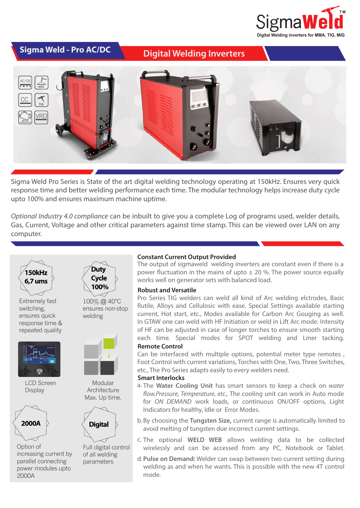

## **Digital Welding Inverters Digital Welding Inverters**



Sigma Weld Pro Series is State of the art digital welding technology operating at 150kHz. Ensures very quick response time and better welding performance each time. The modular technology helps increase duty cycle upto 100% and ensures maximum machine uptime.

*Optional Industry 4.0 compliance* can be inbuilt to give you a complete Log of programs used, welder details, Gas, Current, Voltage and other critical parameters against time stamp. This can be viewed over LAN on any computer.



Extremely fast switching, ensures quick response time & repeated quality



LCD Screen **Display** 



Option of increasing current by parallel connecting power modules upto 2000A



**Duty**





Modular Architecture Max. Up time.



Full digital control of all welding parameters

#### **Constant Current Output Provided**

The output of sigmaweld welding inverters are constant even if there is a power fluctuation in the mains of upto  $\pm$  20 %. The power source equally works well on generator sets with balanced load.

#### **Robust and Versatile**

Pro Series TIG welders can weld all kind of Arc welding elctrodes, Basic Rutile, Alloys and Cellulosic with ease. Special Settings available starting current, Hot start, etc., Modes available for Carbon Arc Gouging as well. In GTAW one can weld with HF Initiation or weld in Lift Arc mode. Intensity of HF can be adjusted in case of longer torches to ensure smooth starting each time. Special modes for SPOT welding and Liner tacking.

#### **Remote Control**

Can be interfaced with multiple options, potential meter type remotes , Foot Control with current variations, Torches with One, Two, Three Switches, etc., The Pro Series adapts easily to every welders need.

#### **Smart Interlocks**

- a. The Water Cooling Unit has smart sensors to keep a check on water *flow,Pressure, Temperature, etc., The cooling unit can work in Auto mode* for *ON DEMAND* work loads, or continuous ON/OFF options, Light Indicators for healthy, Idle or Error Modes.
- b. By choosing the Tungsten Size, current range is automatically limited to avoid melting of tungsten due incorrect current settings.
- c. The optional WELD WEB allows welding data to be collected wirelessly and can be accessed from any PC, Notebook or Tablet.
- **Pulse on Demand:** Welder can swap between two current setting during d. welding as and when he wants. This is possible with the new 4T control mode.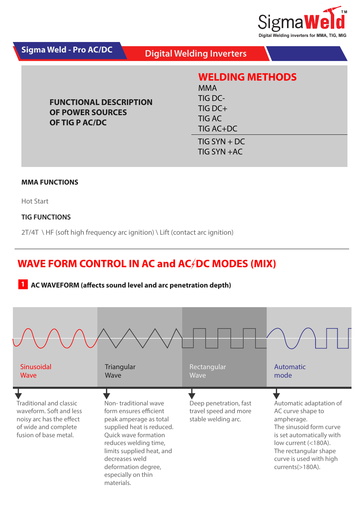

| Sigma Weld - Pro AC/DC                                                     | <b>Digital Welding Inverters</b>                                                           |
|----------------------------------------------------------------------------|--------------------------------------------------------------------------------------------|
| <b>FUNCTIONAL DESCRIPTION</b><br><b>OF POWER SOURCES</b><br>OF TIG P AC/DC | <b>WELDING METHODS</b><br><b>MMA</b><br>TIG DC-<br>TIG DCH<br><b>TIG AC</b><br>$TIG AC+DC$ |
|                                                                            | $TIG SYN + DC$<br>$TIG SYN + AC$                                                           |

#### **MMA FUNCTIONS**

Hot Start

### **TIG FUNCTIONS**

2T/4T \ HF (soft high frequency arc ignition) \ Lift (contact arc ignition)

## **WAVE FORM CONTROL IN AC and AC/DC MODES (MIX)**

## **1 AC WAVEFORM (affects sound level and arc penetration depth)**

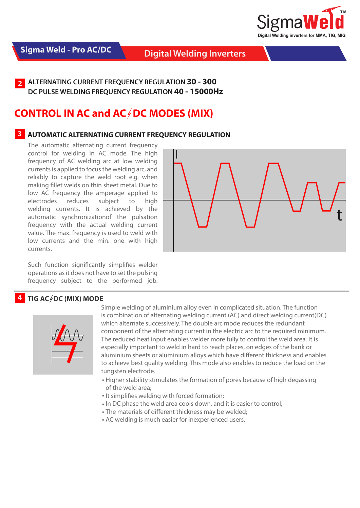

## **Digital Welding Inverters Digital Welding Inverters**

**2 ALTERNATING CURRENT FREQUENCY REGULATION 30 - 300 DC PULSE WELDING FREQUENCY REGULATION 40 - 15000Hz**

## **CONTROL IN AC and AC/DC MODES (MIX)**

## **3 AUTOMATIC ALTERNATING CURRENT FREQUENCY REGULATION**

The automatic alternating current frequency control for welding in AC mode. The high frequency of AC welding arc at low welding currents is applied to focus the welding arc, and reliably to capture the weld root e.g. when making fillet welds on thin sheet metal. Due to low AC frequency the amperage applied to electrodes reduces subject to high welding currents. It is achieved by the automatic synchronizationof the pulsation frequency with the actual welding current value. The max. frequency is used to weld with low currents and the min. one with high currents.

Such function significantly simplifies welder operations as it does not have to set the pulsing frequency subject to the performed job.

## **4 TIG AC OC (MIX) MODE**



Simple welding of aluminium alloy even in complicated situation. The function is combination of alternating welding current (AC) and direct welding current(DC) which alternate successively. The double arc mode reduces the redundant component of the alternating current in the electric arc to the required minimum. The reduced heat input enables welder more fully to control the weld area. It is especially important to weld in hard to reach places, on edges of the bank or aluminium sheets or aluminium alloys which have different thickness and enables to achieve best quality welding. This mode also enables to reduce the load on the tungsten electrode.

- Higher stability stimulates the formation of pores because of high degassing of the weld area;
- It simplifies welding with forced formation;
- In DC phase the weld area cools down, and it is easier to control:
- The materials of different thickness may be welded;
- AC welding is much easier for inexperienced users.